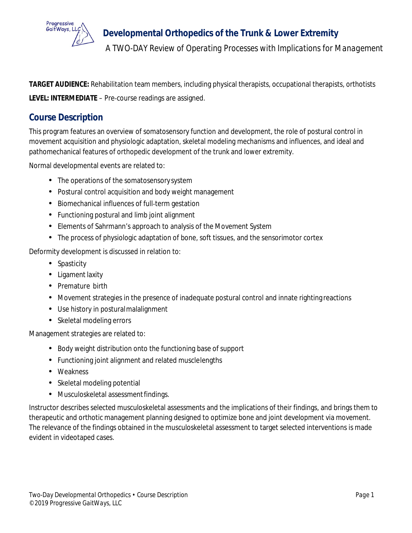

**TARGET AUDIENCE:** Rehabilitation team members, including physical therapists, occupational therapists, orthotists **LEVEL: INTERMEDIATE** – Pre‐course readings are assigned.

## **Course Description**

This program features an overview of somatosensory function and development, the role of postural control in movement acquisition and physiologic adaptation, skeletal modeling mechanisms and influences, and ideal and pathomechanical features of orthopedic development of the trunk and lower extremity.

Normal developmental events are related to:

- The operations of the somatosensory system
- Postural control acquisition and body weight management
- Biomechanical influences of full‐term gestation
- Functioning postural and limb joint alignment
- Elements of Sahrmann's approach to analysis of the Movement System
- The process of physiologic adaptation of bone, soft tissues, and the sensorimotor cortex

Deformity development is discussed in relation to:

- Spasticity
- Ligament laxity
- Premature birth
- Movement strategies in the presence of inadequate postural control and innate righting reactions
- Use history in posturalmalalignment
- Skeletal modeling errors

Management strategies are related to:

- Body weight distribution onto the functioning base of support
- Functioning joint alignment and related musclelengths
- Weakness
- Skeletal modeling potential
- Musculoskeletal assessment findings.

Instructor describes selected musculoskeletal assessments and the implications of their findings, and brings them to therapeutic and orthotic management planning designed to optimize bone and joint development via movement. The relevance of the findings obtained in the musculoskeletal assessment to target selected interventions is made evident in videotaped cases.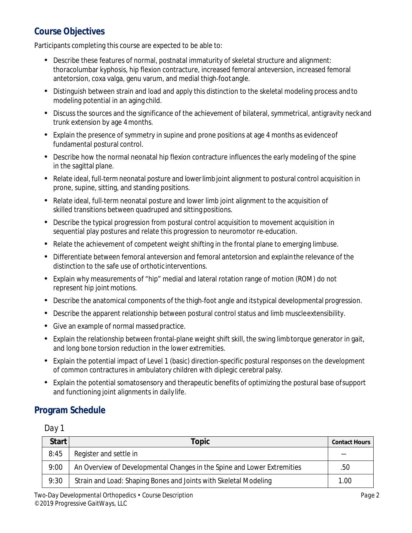## **Course Objectives**

Participants completing this course are expected to be able to:

- Describe these features of normal, postnatal immaturity of skeletal structure and alignment: thoracolumbar kyphosis, hip flexion contracture, increased femoral anteversion, increased femoral antetorsion, coxa valga, genu varum, and medial thigh‐footangle.
- Distinguish between strain and load and apply this distinction to the skeletal modeling process and to modeling potential in an aging child.
- Discuss the sources and the significance of the achievement of bilateral, symmetrical, antigravity neckand trunk extension by age 4months.
- Explain the presence of symmetry in supine and prone positions at age 4 months as evidence of fundamental postural control.
- Describe how the normal neonatal hip flexion contracture influences the early modeling of the spine in the sagittal plane.
- Relate ideal, full-term neonatal posture and lower limb joint alignment to postural control acquisition in prone, supine, sitting, and standing positions.
- Relate ideal, full‐term neonatal posture and lower limb joint alignment to the acquisition of skilled transitions between quadruped and sitting positions.
- Describe the typical progression from postural control acquisition to movement acquisition in sequential play postures and relate this progression to neuromotor re‐education.
- Relate the achievement of competent weight shifting in the frontal plane to emerging limbuse.
- Differentiate between femoral anteversion and femoral antetorsion and explainthe relevance of the distinction to the safe use of orthotic interventions.
- Explain why measurements of "hip" medial and lateral rotation range of motion (ROM) do not represent hip joint motions.
- Describe the anatomical components of the thigh‐foot angle and itstypical developmental progression.
- Describe the apparent relationship between postural control status and limb muscleextensibility.
- Give an example of normal massed practice.
- Explain the relationship between frontal‐plane weight shift skill, the swing limbtorque generator in gait, and long bone torsion reduction in the lower extremities.
- Explain the potential impact of Level 1 (basic) direction‐specific postural responses on the development of common contractures in ambulatory children with diplegic cerebral palsy.
- Explain the potential somatosensory and therapeutic benefits of optimizing the postural base ofsupport and functioning joint alignments in daily life.

### **Program Schedule**

#### *Day 1*

| <b>Start</b> | Topic                                                                   | <b>Contact Hours</b> |
|--------------|-------------------------------------------------------------------------|----------------------|
| 8:45         | Register and settle in                                                  |                      |
| 9:00         | An Overview of Developmental Changes in the Spine and Lower Extremities | .50                  |
| 9:30         | Strain and Load: Shaping Bones and Joints with Skeletal Modeling        | 1.00                 |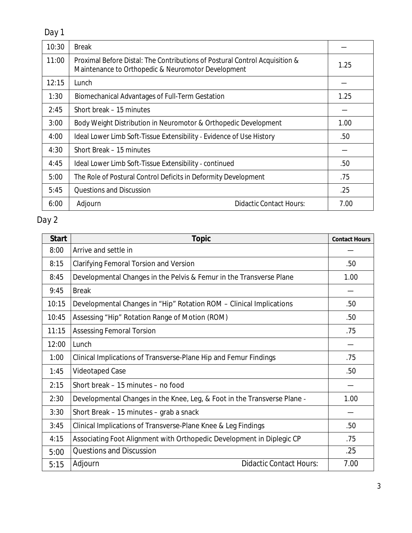| Day 1 |  |
|-------|--|
|       |  |

| 10:30 | <b>Break</b>                                                                                                                      |      |
|-------|-----------------------------------------------------------------------------------------------------------------------------------|------|
| 11:00 | Proximal Before Distal: The Contributions of Postural Control Acquisition &<br>Maintenance to Orthopedic & Neuromotor Development | 1.25 |
| 12:15 | Lunch                                                                                                                             |      |
| 1:30  | <b>Biomechanical Advantages of Full-Term Gestation</b>                                                                            | 1.25 |
| 2:45  | Short break – 15 minutes                                                                                                          |      |
| 3:00  | Body Weight Distribution in Neuromotor & Orthopedic Development                                                                   | 1.00 |
| 4:00  | Ideal Lower Limb Soft-Tissue Extensibility - Evidence of Use History                                                              | .50  |
| 4:30  | Short Break – 15 minutes                                                                                                          |      |
| 4:45  | Ideal Lower Limb Soft-Tissue Extensibility - continued                                                                            | .50  |
| 5:00  | The Role of Postural Control Deficits in Deformity Development                                                                    | .75  |
| 5:45  | <b>Questions and Discussion</b>                                                                                                   | .25  |
| 6:00  | <b>Didactic Contact Hours:</b><br>Adjourn                                                                                         | 7.00 |

# *Day 2*

| <b>Start</b> | <b>Topic</b>                                                             | <b>Contact Hours</b> |
|--------------|--------------------------------------------------------------------------|----------------------|
| 8:00         | Arrive and settle in                                                     |                      |
| 8:15         | <b>Clarifying Femoral Torsion and Version</b>                            | .50                  |
| 8:45         | Developmental Changes in the Pelvis & Femur in the Transverse Plane      | 1.00                 |
| 9:45         | <b>Break</b>                                                             |                      |
| 10:15        | Developmental Changes in "Hip" Rotation ROM - Clinical Implications      | .50                  |
| 10:45        | Assessing "Hip" Rotation Range of Motion (ROM)                           | .50                  |
| 11:15        | <b>Assessing Femoral Torsion</b>                                         | .75                  |
| 12:00        | Lunch                                                                    |                      |
| 1:00         | Clinical Implications of Transverse-Plane Hip and Femur Findings         | .75                  |
| 1:45         | <b>Videotaped Case</b>                                                   | .50                  |
| 2:15         | Short break - 15 minutes - no food                                       |                      |
| 2:30         | Developmental Changes in the Knee, Leg, & Foot in the Transverse Plane - | 1.00                 |
| 3:30         | Short Break - 15 minutes - grab a snack                                  |                      |
| 3:45         | Clinical Implications of Transverse-Plane Knee & Leg Findings            | .50                  |
| 4:15         | Associating Foot Alignment with Orthopedic Development in Diplegic CP    | .75                  |
| 5:00         | <b>Questions and Discussion</b>                                          | .25                  |
| 5:15         | <b>Didactic Contact Hours:</b><br>Adjourn                                | 7.00                 |